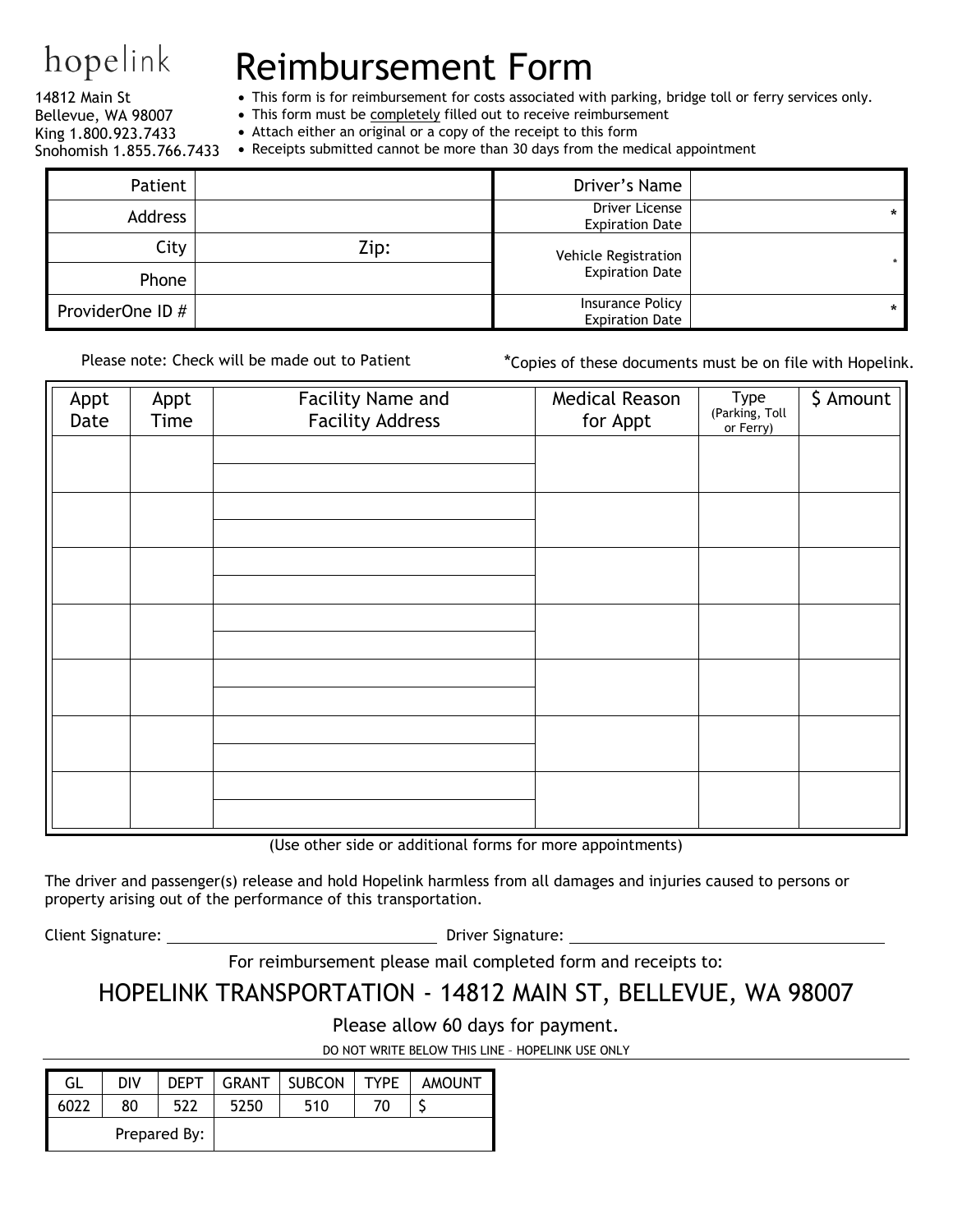## hopelink

14812 Main St

## Reimbursement Form

• This form is for reimbursement for costs associated with parking, bridge toll or ferry services only.

• This form must be completely filled out to receive reimbursement

Bellevue, WA 98007 King 1.800.923.7433 Snohomish 1.855.766.7433

- Attach either an original or a copy of the receipt to this form
- Receipts submitted cannot be more than 30 days from the medical appointment

| Patient          |      | Driver's Name                              |         |
|------------------|------|--------------------------------------------|---------|
| Address          |      | Driver License<br><b>Expiration Date</b>   | $\star$ |
| City             | Zip: | Vehicle Registration                       |         |
| Phone            |      | <b>Expiration Date</b>                     |         |
| ProviderOne ID # |      | Insurance Policy<br><b>Expiration Date</b> | $\star$ |

Please note: Check will be made out to Patient \* \* Copies of these documents must be on file with Hopelink.

| Appt<br>Date | Appt<br>Time | Facility Name and<br><b>Facility Address</b> | Medical Reason<br>for Appt | Type<br>(Parking, Toll<br>or Ferry) | \$ Amount |
|--------------|--------------|----------------------------------------------|----------------------------|-------------------------------------|-----------|
|              |              |                                              |                            |                                     |           |
|              |              |                                              |                            |                                     |           |
|              |              |                                              |                            |                                     |           |
|              |              |                                              |                            |                                     |           |
|              |              |                                              |                            |                                     |           |
|              |              |                                              |                            |                                     |           |
|              |              |                                              |                            |                                     |           |

(Use other side or additional forms for more appointments)

The driver and passenger(s) release and hold Hopelink harmless from all damages and injuries caused to persons or property arising out of the performance of this transportation.

Client Signature: Driver Signature:

For reimbursement please mail completed form and receipts to:

## HOPELINK TRANSPORTATION - 14812 MAIN ST, BELLEVUE, WA 98007

Please allow 60 days for payment.

DO NOT WRITE BELOW THIS LINE – HOPELINK USE ONLY

| GL           | DIV | <b>DEPT</b> | GRANT | SUBCON | <b>TYPF</b> | <b>AMOUNT</b> |
|--------------|-----|-------------|-------|--------|-------------|---------------|
| 6022         | 80  | 522         | 5250  | 510    |             |               |
| Prepared By: |     |             |       |        |             |               |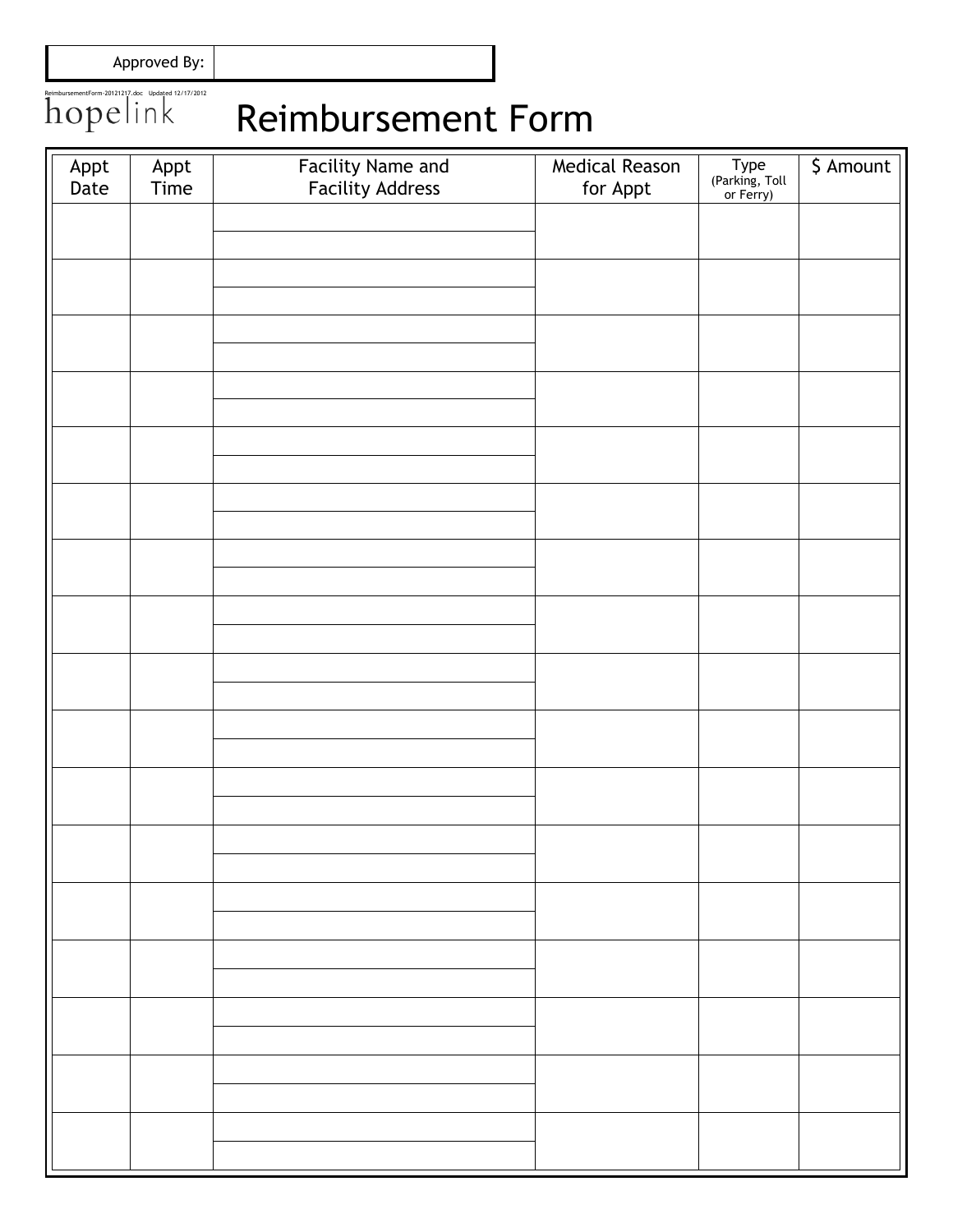Approved By:

## ReimbursementForm-20121217.doc Updated 12/17/2012 Reimbursement Form

| Appt<br>Date | Appt<br>Time | Facility Name and<br>Facility Address | Medical Reason<br>for Appt | Type<br>(Parking, Toll<br>or Ferry) | \$ Amount |
|--------------|--------------|---------------------------------------|----------------------------|-------------------------------------|-----------|
|              |              |                                       |                            |                                     |           |
|              |              |                                       |                            |                                     |           |
|              |              |                                       |                            |                                     |           |
|              |              |                                       |                            |                                     |           |
|              |              |                                       |                            |                                     |           |
|              |              |                                       |                            |                                     |           |
|              |              |                                       |                            |                                     |           |
|              |              |                                       |                            |                                     |           |
|              |              |                                       |                            |                                     |           |
|              |              |                                       |                            |                                     |           |
|              |              |                                       |                            |                                     |           |
|              |              |                                       |                            |                                     |           |
|              |              |                                       |                            |                                     |           |
|              |              |                                       |                            |                                     |           |
|              |              |                                       |                            |                                     |           |
|              |              |                                       |                            |                                     |           |
|              |              |                                       |                            |                                     |           |
|              |              |                                       |                            |                                     |           |
|              |              |                                       |                            |                                     |           |
|              |              |                                       |                            |                                     |           |